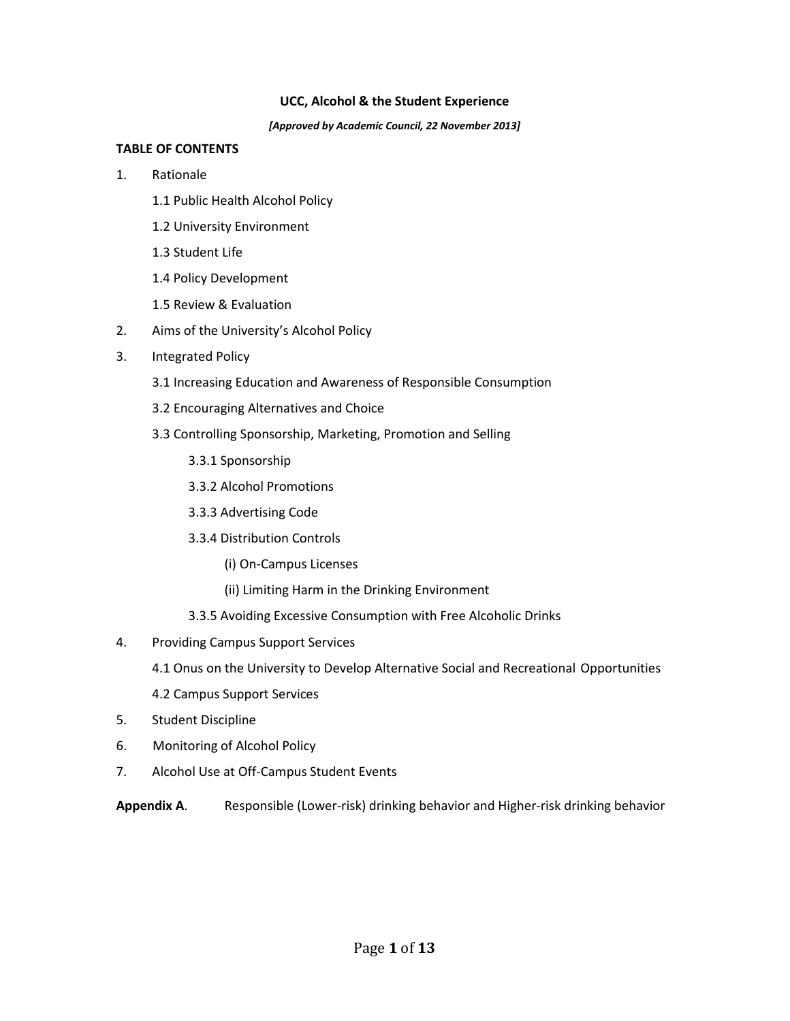#### **UCC, Alcohol & the Student Experience**

*[Approved by Academic Council, 22 November 2013]*

#### **TABLE OF CONTENTS**

- 1. Rationale
	- 1.1 Public Health Alcohol Policy
	- 1.2 University Environment
	- 1.3 Student Life
	- 1.4 Policy Development
	- 1.5 Review & Evaluation
- 2. Aims of the University's Alcohol Policy
- 3. Integrated Policy
	- 3.1 Increasing Education and Awareness of Responsible Consumption
	- 3.2 Encouraging Alternatives and Choice
	- 3.3 Controlling Sponsorship, Marketing, Promotion and Selling
		- 3.3.1 Sponsorship
		- 3.3.2 Alcohol Promotions
		- 3.3.3 Advertising Code
		- 3.3.4 Distribution Controls
			- (i) On-Campus Licenses
			- (ii) Limiting Harm in the Drinking Environment
		- 3.3.5 Avoiding Excessive Consumption with Free Alcoholic Drinks
- 4. Providing Campus Support Services
	- 4.1 Onus on the University to Develop Alternative Social and Recreational Opportunities
	- 4.2 Campus Support Services
- 5. Student Discipline
- 6. Monitoring of Alcohol Policy
- 7. Alcohol Use at Off-Campus Student Events
- **Appendix A**. Responsible (Lower-risk) drinking behavior and Higher-risk drinking behavior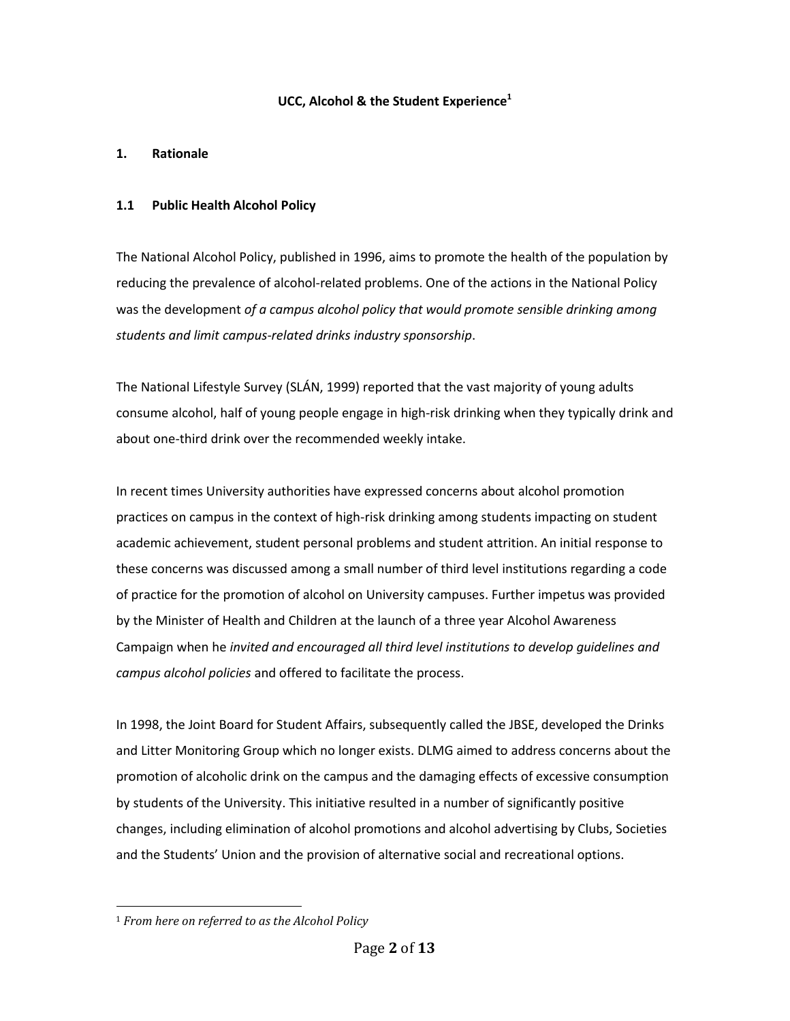# **UCC, Alcohol & the Student Experience<sup>1</sup>**

### **1. Rationale**

### **1.1 Public Health Alcohol Policy**

The National Alcohol Policy, published in 1996, aims to promote the health of the population by reducing the prevalence of alcohol-related problems. One of the actions in the National Policy was the development *of a campus alcohol policy that would promote sensible drinking among students and limit campus-related drinks industry sponsorship*.

The National Lifestyle Survey (SLÁN, 1999) reported that the vast majority of young adults consume alcohol, half of young people engage in high-risk drinking when they typically drink and about one-third drink over the recommended weekly intake.

In recent times University authorities have expressed concerns about alcohol promotion practices on campus in the context of high-risk drinking among students impacting on student academic achievement, student personal problems and student attrition. An initial response to these concerns was discussed among a small number of third level institutions regarding a code of practice for the promotion of alcohol on University campuses. Further impetus was provided by the Minister of Health and Children at the launch of a three year Alcohol Awareness Campaign when he *invited and encouraged all third level institutions to develop guidelines and campus alcohol policies* and offered to facilitate the process.

In 1998, the Joint Board for Student Affairs, subsequently called the JBSE, developed the Drinks and Litter Monitoring Group which no longer exists. DLMG aimed to address concerns about the promotion of alcoholic drink on the campus and the damaging effects of excessive consumption by students of the University. This initiative resulted in a number of significantly positive changes, including elimination of alcohol promotions and alcohol advertising by Clubs, Societies and the Students' Union and the provision of alternative social and recreational options.

l

<sup>1</sup> *From here on referred to as the Alcohol Policy*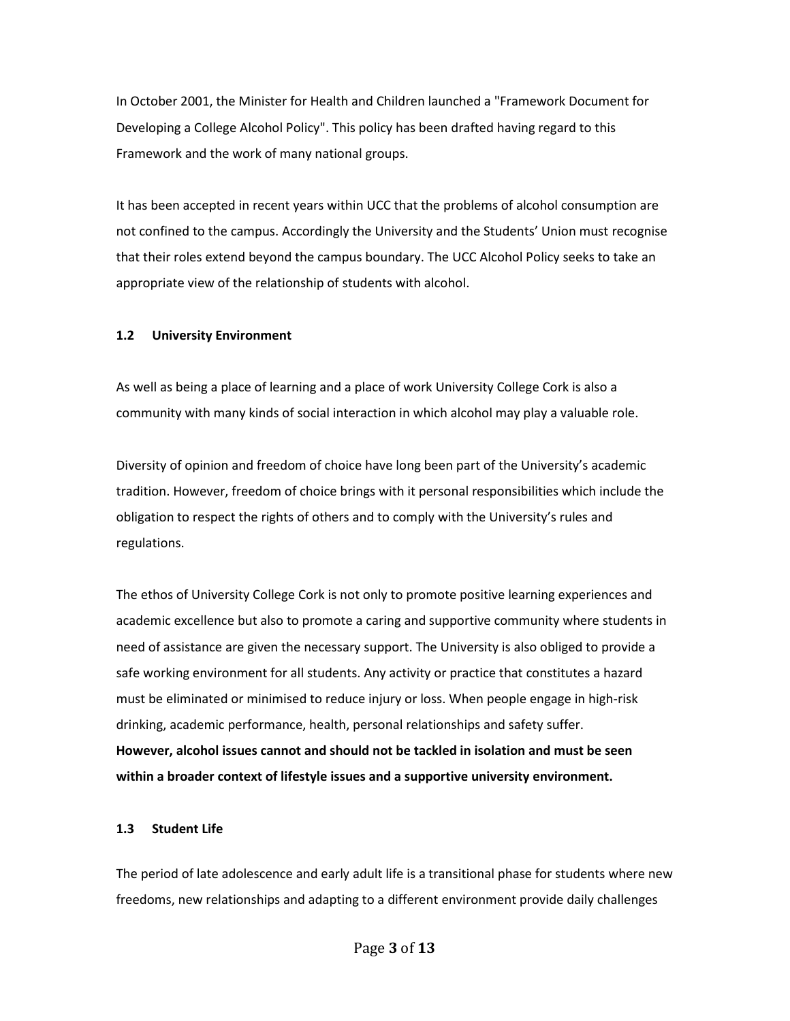In October 2001, the Minister for Health and Children launched a "Framework Document for Developing a College Alcohol Policy". This policy has been drafted having regard to this Framework and the work of many national groups.

It has been accepted in recent years within UCC that the problems of alcohol consumption are not confined to the campus. Accordingly the University and the Students' Union must recognise that their roles extend beyond the campus boundary. The UCC Alcohol Policy seeks to take an appropriate view of the relationship of students with alcohol.

#### **1.2 University Environment**

As well as being a place of learning and a place of work University College Cork is also a community with many kinds of social interaction in which alcohol may play a valuable role.

Diversity of opinion and freedom of choice have long been part of the University's academic tradition. However, freedom of choice brings with it personal responsibilities which include the obligation to respect the rights of others and to comply with the University's rules and regulations.

The ethos of University College Cork is not only to promote positive learning experiences and academic excellence but also to promote a caring and supportive community where students in need of assistance are given the necessary support. The University is also obliged to provide a safe working environment for all students. Any activity or practice that constitutes a hazard must be eliminated or minimised to reduce injury or loss. When people engage in high-risk drinking, academic performance, health, personal relationships and safety suffer. **However, alcohol issues cannot and should not be tackled in isolation and must be seen within a broader context of lifestyle issues and a supportive university environment.**

# **1.3 Student Life**

The period of late adolescence and early adult life is a transitional phase for students where new freedoms, new relationships and adapting to a different environment provide daily challenges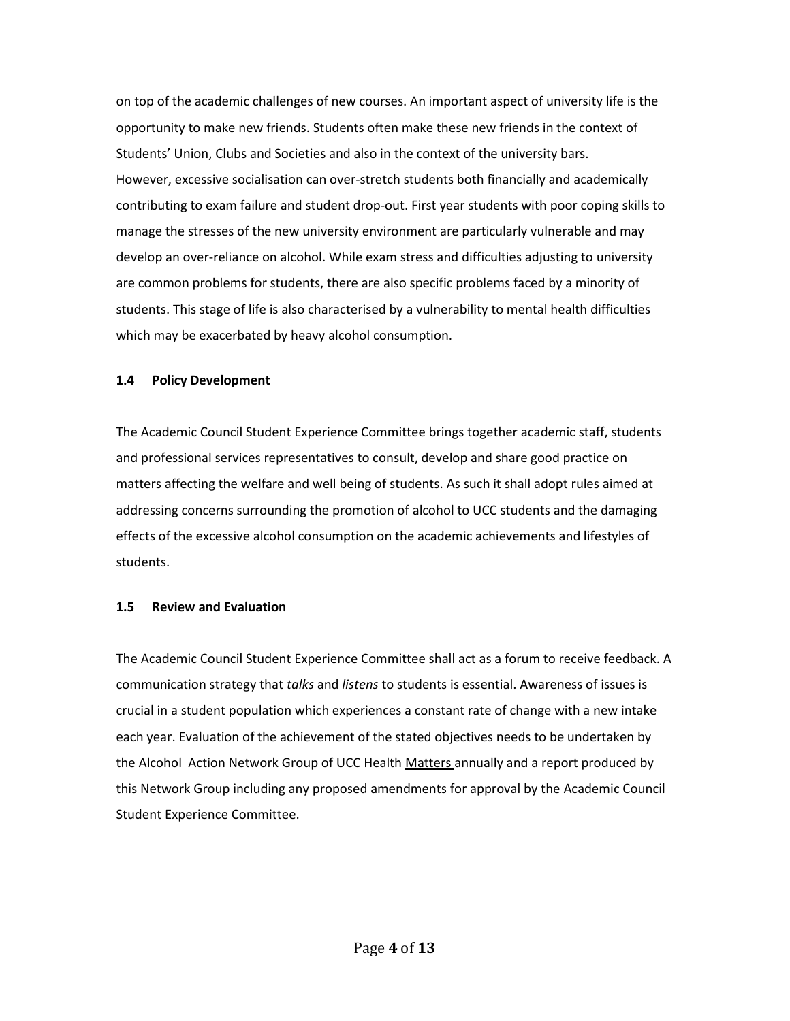on top of the academic challenges of new courses. An important aspect of university life is the opportunity to make new friends. Students often make these new friends in the context of Students' Union, Clubs and Societies and also in the context of the university bars. However, excessive socialisation can over-stretch students both financially and academically contributing to exam failure and student drop-out. First year students with poor coping skills to manage the stresses of the new university environment are particularly vulnerable and may develop an over-reliance on alcohol. While exam stress and difficulties adjusting to university are common problems for students, there are also specific problems faced by a minority of students. This stage of life is also characterised by a vulnerability to mental health difficulties which may be exacerbated by heavy alcohol consumption.

#### **1.4 Policy Development**

The Academic Council Student Experience Committee brings together academic staff, students and professional services representatives to consult, develop and share good practice on matters affecting the welfare and well being of students. As such it shall adopt rules aimed at addressing concerns surrounding the promotion of alcohol to UCC students and the damaging effects of the excessive alcohol consumption on the academic achievements and lifestyles of students.

#### **1.5 Review and Evaluation**

The Academic Council Student Experience Committee shall act as a forum to receive feedback. A communication strategy that *talks* and *listens* to students is essential. Awareness of issues is crucial in a student population which experiences a constant rate of change with a new intake each year. Evaluation of the achievement of the stated objectives needs to be undertaken by the Alcohol Action Network Group of UCC Health Matters annually and a report produced by this Network Group including any proposed amendments for approval by the Academic Council Student Experience Committee.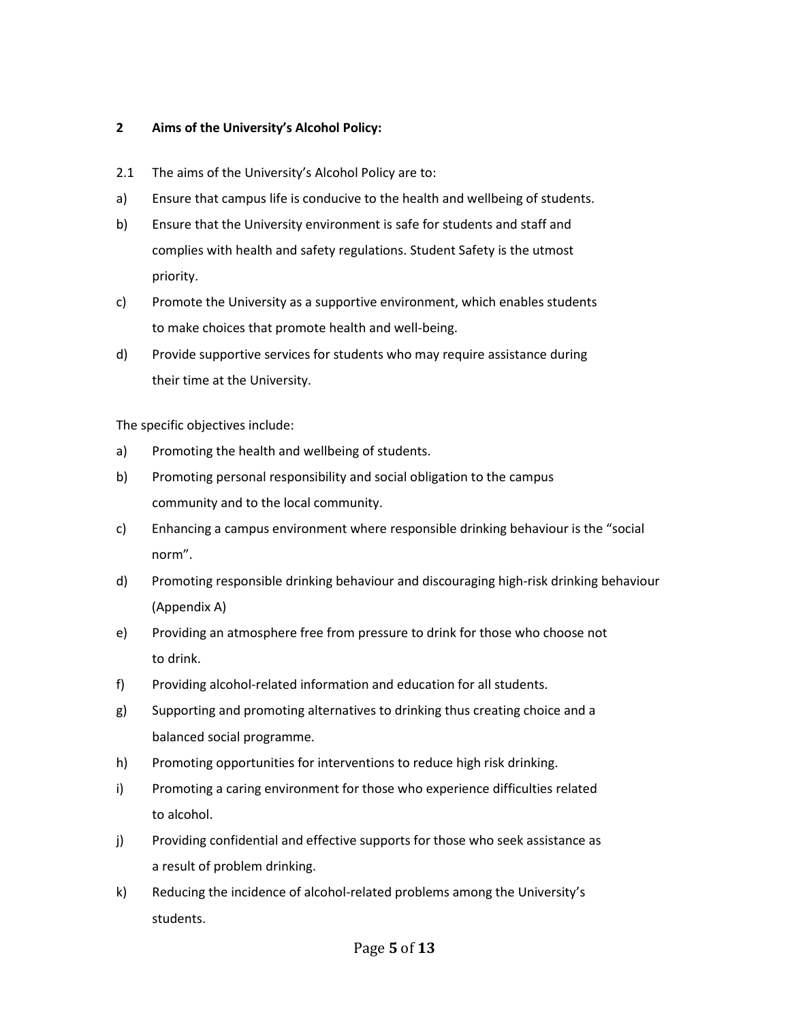# **2 Aims of the University's Alcohol Policy:**

- 2.1 The aims of the University's Alcohol Policy are to:
- a) Ensure that campus life is conducive to the health and wellbeing of students.
- b) Ensure that the University environment is safe for students and staff and complies with health and safety regulations. Student Safety is the utmost priority.
- c) Promote the University as a supportive environment, which enables students to make choices that promote health and well-being.
- d) Provide supportive services for students who may require assistance during their time at the University.

The specific objectives include:

- a) Promoting the health and wellbeing of students.
- b) Promoting personal responsibility and social obligation to the campus community and to the local community.
- c) Enhancing a campus environment where responsible drinking behaviour is the "social norm".
- d) Promoting responsible drinking behaviour and discouraging high-risk drinking behaviour (Appendix A)
- e) Providing an atmosphere free from pressure to drink for those who choose not to drink.
- f) Providing alcohol-related information and education for all students.
- g) Supporting and promoting alternatives to drinking thus creating choice and a balanced social programme.
- h) Promoting opportunities for interventions to reduce high risk drinking.
- i) Promoting a caring environment for those who experience difficulties related to alcohol.
- j) Providing confidential and effective supports for those who seek assistance as a result of problem drinking.
- k) Reducing the incidence of alcohol-related problems among the University's students.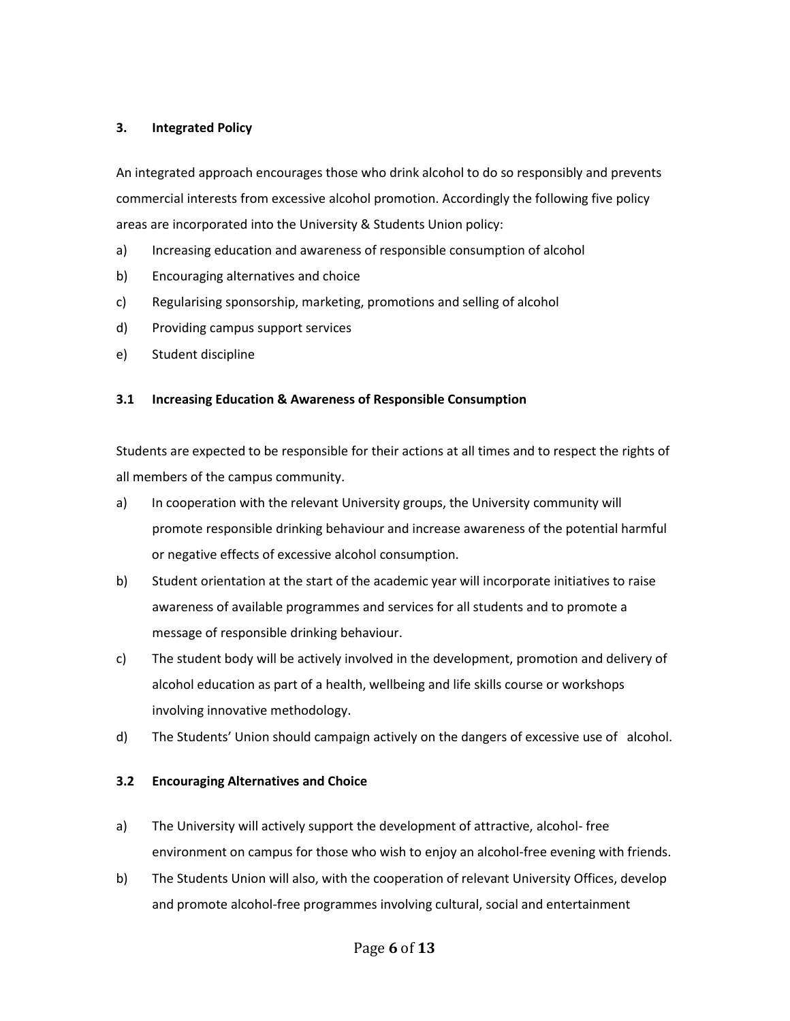#### **3. Integrated Policy**

An integrated approach encourages those who drink alcohol to do so responsibly and prevents commercial interests from excessive alcohol promotion. Accordingly the following five policy areas are incorporated into the University & Students Union policy:

- a) Increasing education and awareness of responsible consumption of alcohol
- b) Encouraging alternatives and choice
- c) Regularising sponsorship, marketing, promotions and selling of alcohol
- d) Providing campus support services
- e) Student discipline

#### **3.1 Increasing Education & Awareness of Responsible Consumption**

Students are expected to be responsible for their actions at all times and to respect the rights of all members of the campus community.

- a) In cooperation with the relevant University groups, the University community will promote responsible drinking behaviour and increase awareness of the potential harmful or negative effects of excessive alcohol consumption.
- b) Student orientation at the start of the academic year will incorporate initiatives to raise awareness of available programmes and services for all students and to promote a message of responsible drinking behaviour.
- c) The student body will be actively involved in the development, promotion and delivery of alcohol education as part of a health, wellbeing and life skills course or workshops involving innovative methodology.
- d) The Students' Union should campaign actively on the dangers of excessive use of alcohol.

#### **3.2 Encouraging Alternatives and Choice**

- a) The University will actively support the development of attractive, alcohol- free environment on campus for those who wish to enjoy an alcohol-free evening with friends.
- b) The Students Union will also, with the cooperation of relevant University Offices, develop and promote alcohol-free programmes involving cultural, social and entertainment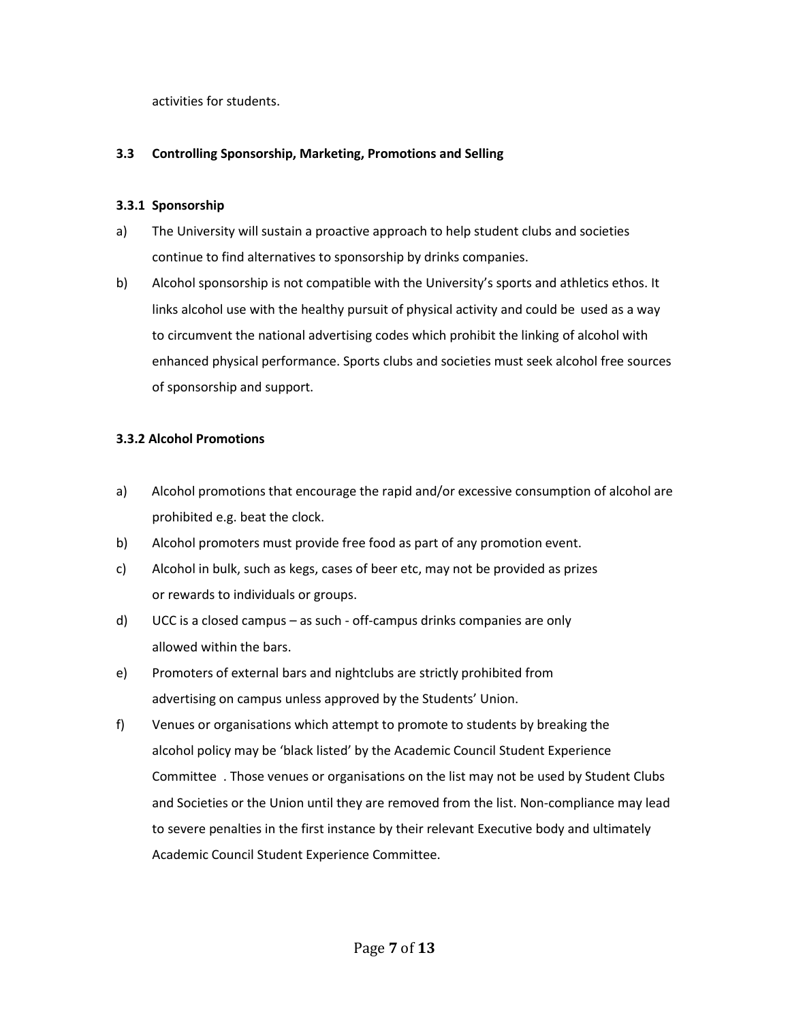activities for students.

# **3.3 Controlling Sponsorship, Marketing, Promotions and Selling**

### **3.3.1 Sponsorship**

- a) The University will sustain a proactive approach to help student clubs and societies continue to find alternatives to sponsorship by drinks companies.
- b) Alcohol sponsorship is not compatible with the University's sports and athletics ethos. It links alcohol use with the healthy pursuit of physical activity and could be used as a way to circumvent the national advertising codes which prohibit the linking of alcohol with enhanced physical performance. Sports clubs and societies must seek alcohol free sources of sponsorship and support.

# **3.3.2 Alcohol Promotions**

- a) Alcohol promotions that encourage the rapid and/or excessive consumption of alcohol are prohibited e.g. beat the clock.
- b) Alcohol promoters must provide free food as part of any promotion event.
- c) Alcohol in bulk, such as kegs, cases of beer etc, may not be provided as prizes or rewards to individuals or groups.
- d) UCC is a closed campus as such off-campus drinks companies are only allowed within the bars.
- e) Promoters of external bars and nightclubs are strictly prohibited from advertising on campus unless approved by the Students' Union.
- f) Venues or organisations which attempt to promote to students by breaking the alcohol policy may be 'black listed' by the Academic Council Student Experience Committee . Those venues or organisations on the list may not be used by Student Clubs and Societies or the Union until they are removed from the list. Non-compliance may lead to severe penalties in the first instance by their relevant Executive body and ultimately Academic Council Student Experience Committee.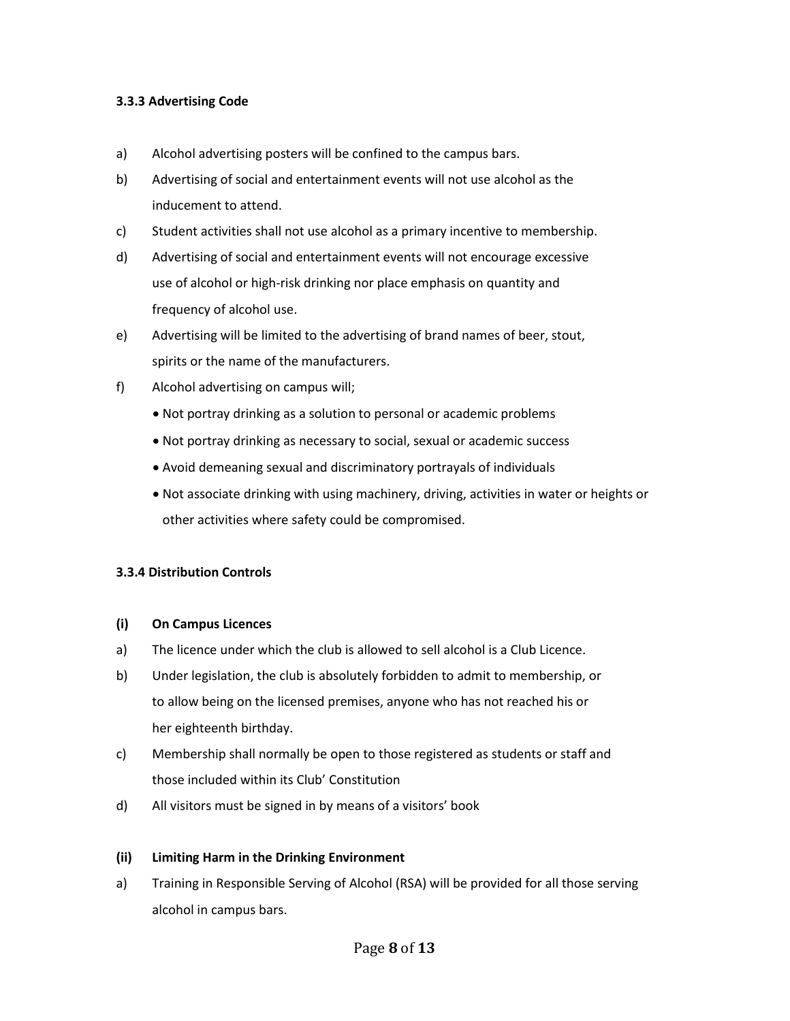#### **3.3.3 Advertising Code**

- a) Alcohol advertising posters will be confined to the campus bars.
- b) Advertising of social and entertainment events will not use alcohol as the inducement to attend.
- c) Student activities shall not use alcohol as a primary incentive to membership.
- d) Advertising of social and entertainment events will not encourage excessive use of alcohol or high-risk drinking nor place emphasis on quantity and frequency of alcohol use.
- e) Advertising will be limited to the advertising of brand names of beer, stout, spirits or the name of the manufacturers.
- f) Alcohol advertising on campus will;
	- Not portray drinking as a solution to personal or academic problems
	- Not portray drinking as necessary to social, sexual or academic success
	- Avoid demeaning sexual and discriminatory portrayals of individuals
	- Not associate drinking with using machinery, driving, activities in water or heights or other activities where safety could be compromised.

# **3.3.4 Distribution Controls**

#### **(i) On Campus Licences**

- a) The licence under which the club is allowed to sell alcohol is a Club Licence.
- b) Under legislation, the club is absolutely forbidden to admit to membership, or to allow being on the licensed premises, anyone who has not reached his or her eighteenth birthday.
- c) Membership shall normally be open to those registered as students or staff and those included within its Club' Constitution
- d) All visitors must be signed in by means of a visitors' book

#### **(ii) Limiting Harm in the Drinking Environment**

a) Training in Responsible Serving of Alcohol (RSA) will be provided for all those serving alcohol in campus bars.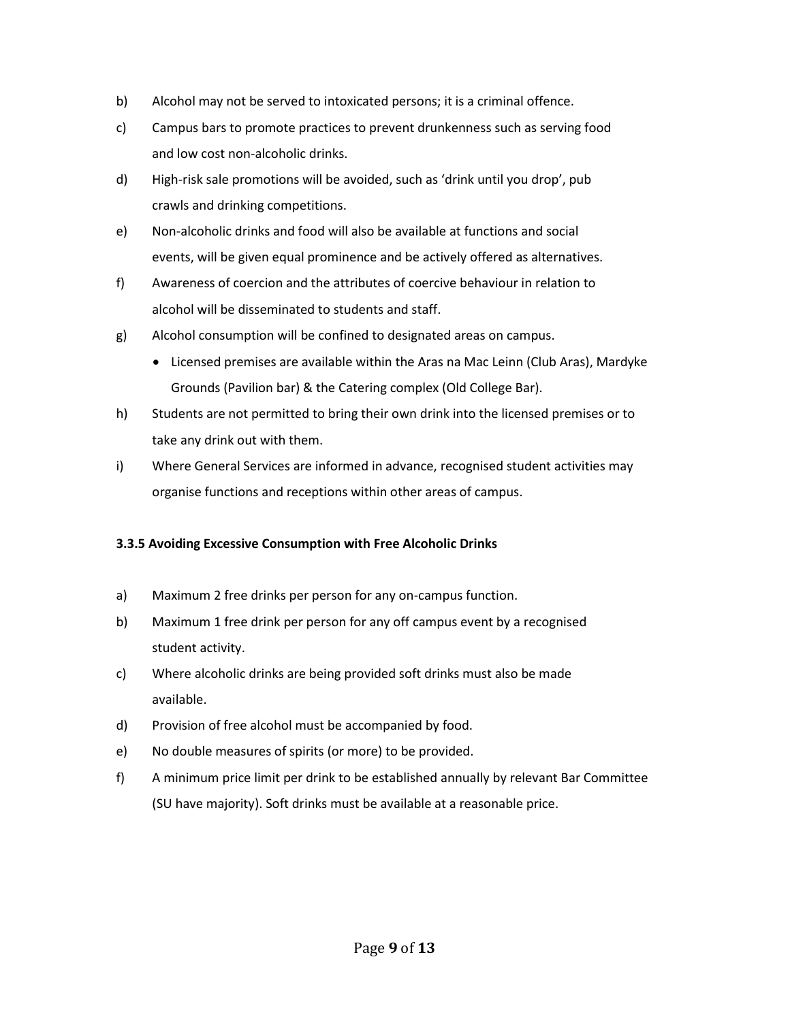- b) Alcohol may not be served to intoxicated persons; it is a criminal offence.
- c) Campus bars to promote practices to prevent drunkenness such as serving food and low cost non-alcoholic drinks.
- d) High-risk sale promotions will be avoided, such as 'drink until you drop', pub crawls and drinking competitions.
- e) Non-alcoholic drinks and food will also be available at functions and social events, will be given equal prominence and be actively offered as alternatives.
- f) Awareness of coercion and the attributes of coercive behaviour in relation to alcohol will be disseminated to students and staff.
- g) Alcohol consumption will be confined to designated areas on campus.
	- Licensed premises are available within the Aras na Mac Leinn (Club Aras), Mardyke Grounds (Pavilion bar) & the Catering complex (Old College Bar).
- h) Students are not permitted to bring their own drink into the licensed premises or to take any drink out with them.
- i) Where General Services are informed in advance, recognised student activities may organise functions and receptions within other areas of campus.

# **3.3.5 Avoiding Excessive Consumption with Free Alcoholic Drinks**

- a) Maximum 2 free drinks per person for any on-campus function.
- b) Maximum 1 free drink per person for any off campus event by a recognised student activity.
- c) Where alcoholic drinks are being provided soft drinks must also be made available.
- d) Provision of free alcohol must be accompanied by food.
- e) No double measures of spirits (or more) to be provided.
- f) A minimum price limit per drink to be established annually by relevant Bar Committee (SU have majority). Soft drinks must be available at a reasonable price.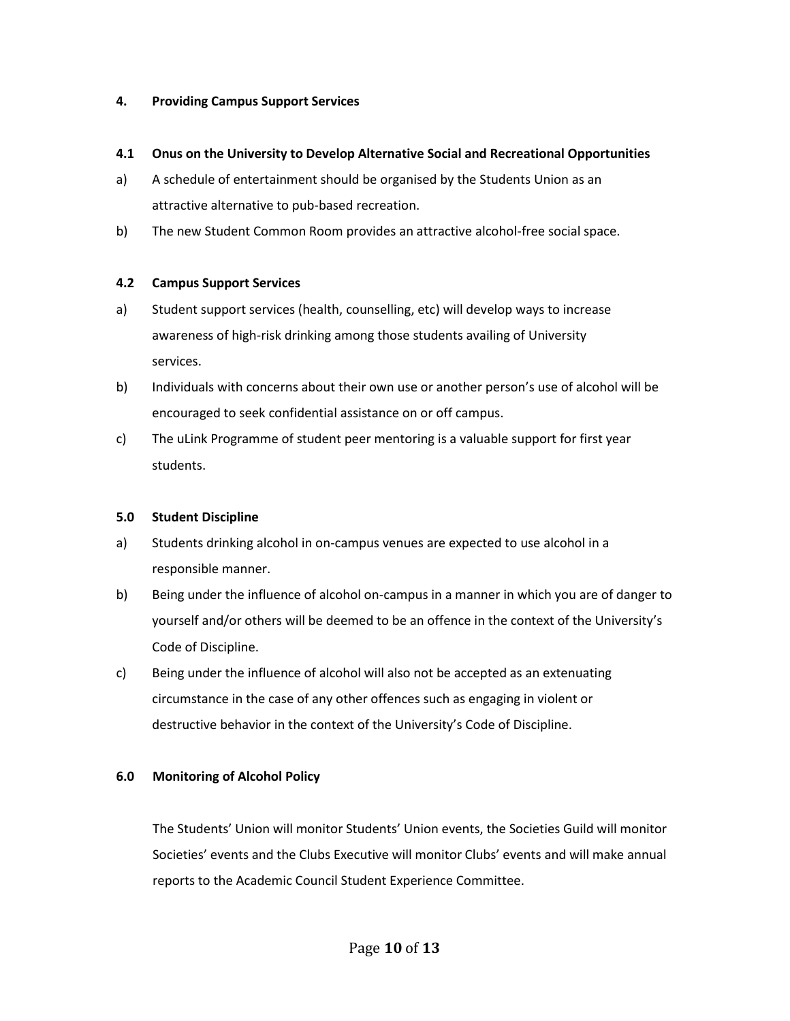#### **4. Providing Campus Support Services**

### **4.1 Onus on the University to Develop Alternative Social and Recreational Opportunities**

- a) A schedule of entertainment should be organised by the Students Union as an attractive alternative to pub-based recreation.
- b) The new Student Common Room provides an attractive alcohol-free social space.

# **4.2 Campus Support Services**

- a) Student support services (health, counselling, etc) will develop ways to increase awareness of high-risk drinking among those students availing of University services.
- b) Individuals with concerns about their own use or another person's use of alcohol will be encouraged to seek confidential assistance on or off campus.
- c) The uLink Programme of student peer mentoring is a valuable support for first year students.

### **5.0 Student Discipline**

- a) Students drinking alcohol in on-campus venues are expected to use alcohol in a responsible manner.
- b) Being under the influence of alcohol on-campus in a manner in which you are of danger to yourself and/or others will be deemed to be an offence in the context of the University's Code of Discipline.
- c) Being under the influence of alcohol will also not be accepted as an extenuating circumstance in the case of any other offences such as engaging in violent or destructive behavior in the context of the University's Code of Discipline.

# **6.0 Monitoring of Alcohol Policy**

The Students' Union will monitor Students' Union events, the Societies Guild will monitor Societies' events and the Clubs Executive will monitor Clubs' events and will make annual reports to the Academic Council Student Experience Committee.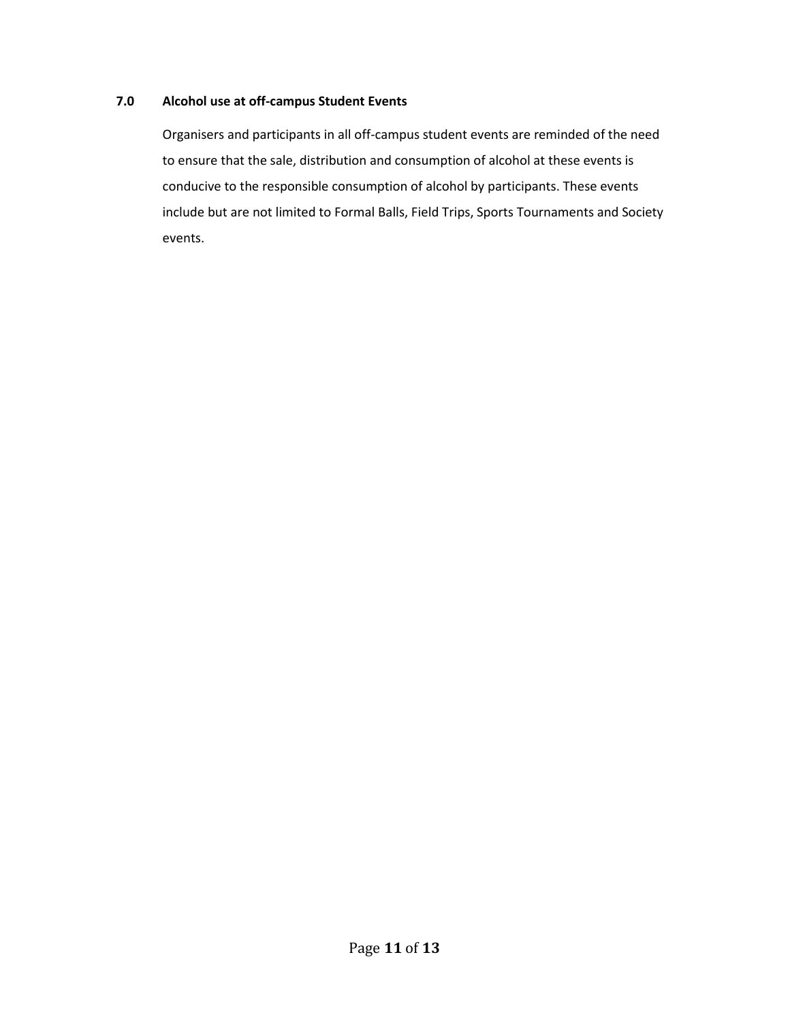# **7.0 Alcohol use at off-campus Student Events**

Organisers and participants in all off-campus student events are reminded of the need to ensure that the sale, distribution and consumption of alcohol at these events is conducive to the responsible consumption of alcohol by participants. These events include but are not limited to Formal Balls, Field Trips, Sports Tournaments and Society events.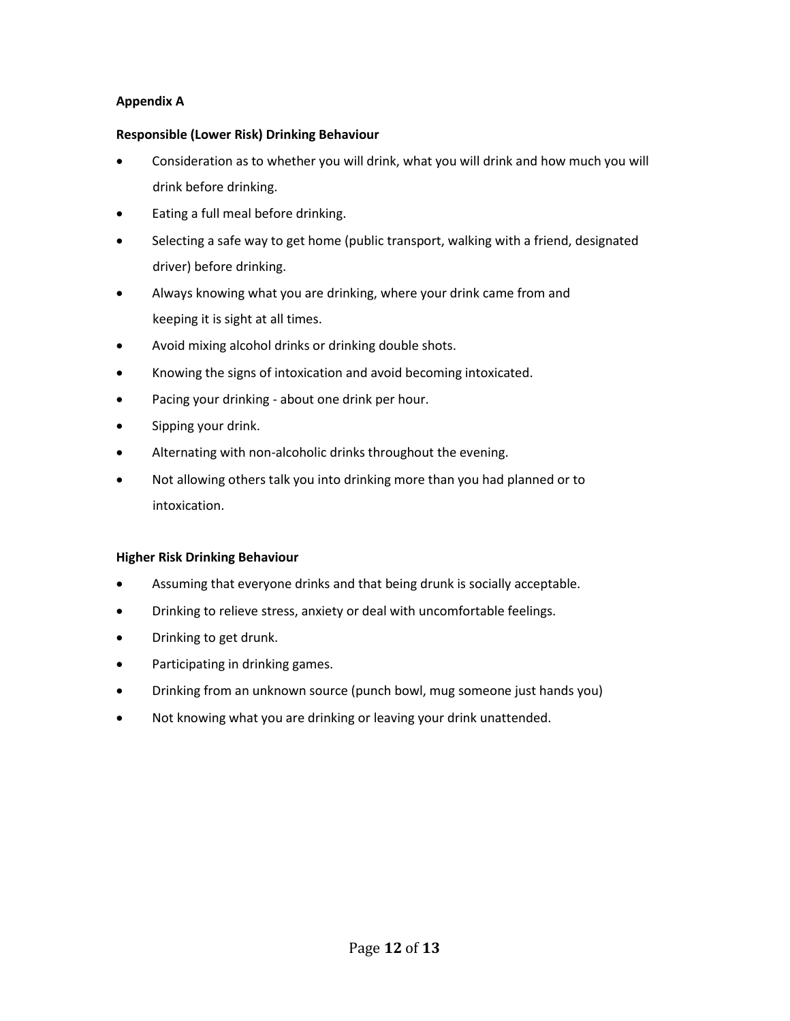### **Appendix A**

### **Responsible (Lower Risk) Drinking Behaviour**

- Consideration as to whether you will drink, what you will drink and how much you will drink before drinking.
- Eating a full meal before drinking.
- Selecting a safe way to get home (public transport, walking with a friend, designated driver) before drinking.
- Always knowing what you are drinking, where your drink came from and keeping it is sight at all times.
- Avoid mixing alcohol drinks or drinking double shots.
- Knowing the signs of intoxication and avoid becoming intoxicated.
- Pacing your drinking about one drink per hour.
- Sipping your drink.
- Alternating with non-alcoholic drinks throughout the evening.
- Not allowing others talk you into drinking more than you had planned or to intoxication.

# **Higher Risk Drinking Behaviour**

- Assuming that everyone drinks and that being drunk is socially acceptable.
- Drinking to relieve stress, anxiety or deal with uncomfortable feelings.
- Drinking to get drunk.
- Participating in drinking games.
- Drinking from an unknown source (punch bowl, mug someone just hands you)
- Not knowing what you are drinking or leaving your drink unattended.